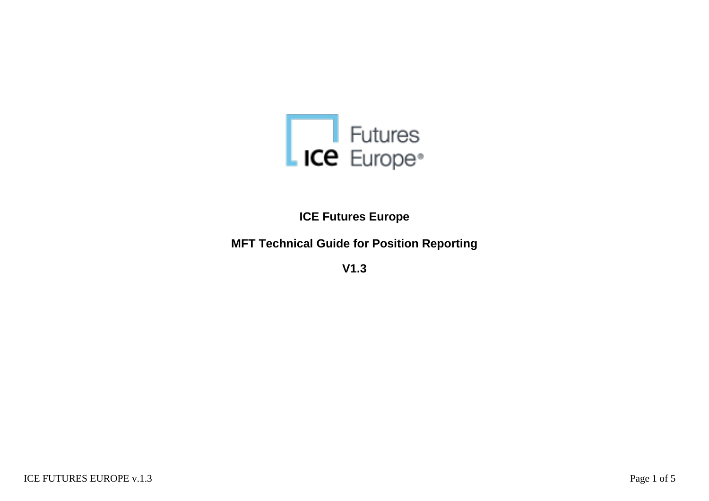

**ICE Futures Europe**

**MFT Technical Guide for Position Reporting**

**V1.3**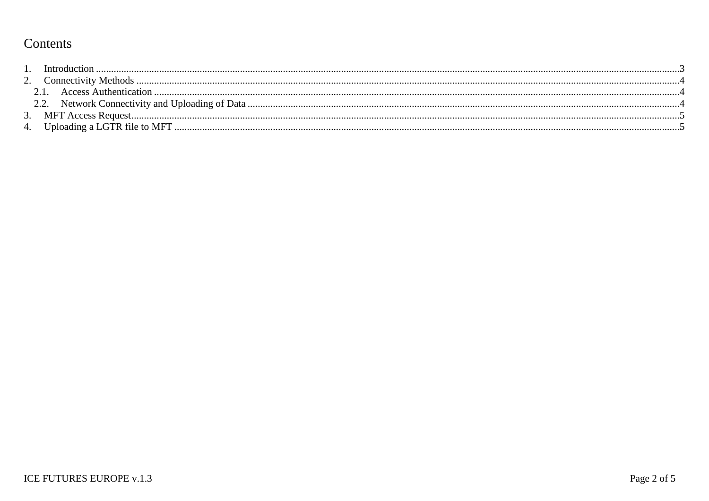# Contents

| Introduction          |  |
|-----------------------|--|
|                       |  |
| Access Authentication |  |
|                       |  |
|                       |  |
|                       |  |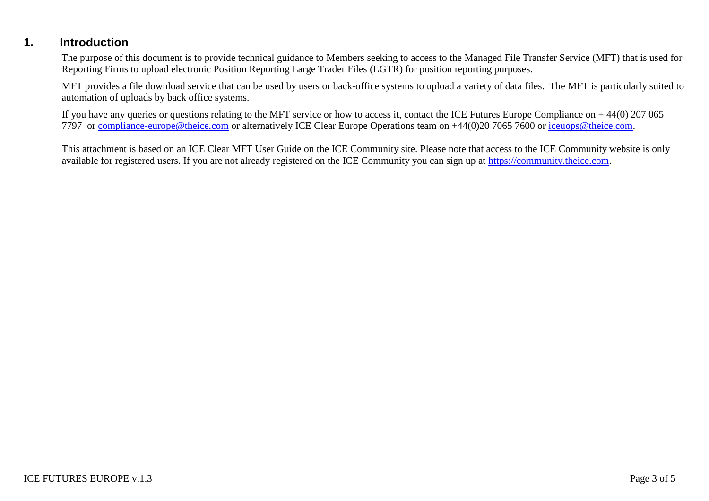# **1. Introduction**

The purpose of this document is to provide technical guidance to Members seeking to access to the Managed File Transfer Service (MFT) that is used for Reporting Firms to upload electronic Position Reporting Large Trader Files (LGTR) for position reporting purposes.

MFT provides a file download service that can be used by users or back-office systems to upload a variety of data files. The MFT is particularly suited to automation of uploads by back office systems.

If you have any queries or questions relating to the MFT service or how to access it, contact the ICE Futures Europe Compliance on + 44(0) 207 065 7797 or [compliance-europe@theice.com](mailto:compliance-europe@theice.com) or alternatively ICE Clear Europe Operations team on +44(0)20 7065 7600 or [iceuops@theice.com.](mailto:iceuops@theice.com)

This attachment is based on an ICE Clear MFT User Guide on the ICE Community site. Please note that access to the ICE Community website is only available for registered users. If you are not already registered on the ICE Community you can sign up at [https://community.theice.com.](https://community.theice.com/)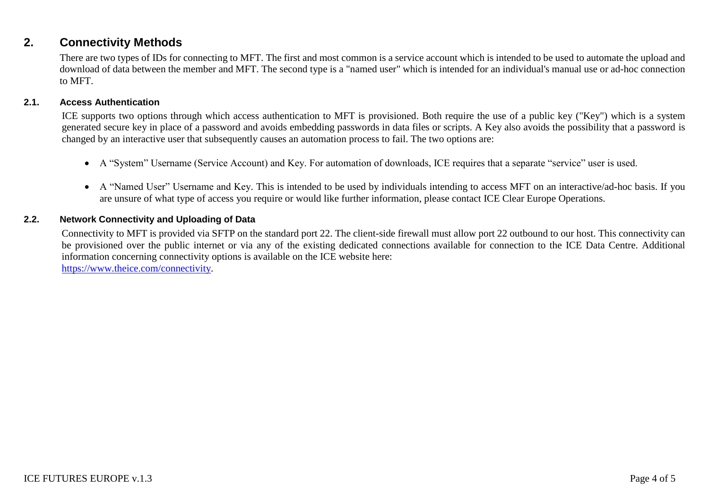# **2. Connectivity Methods**

There are two types of IDs for connecting to MFT. The first and most common is a service account which is intended to be used to automate the upload and download of data between the member and MFT. The second type is a "named user" which is intended for an individual's manual use or ad-hoc connection to MFT.

#### **2.1. Access Authentication**

ICE supports two options through which access authentication to MFT is provisioned. Both require the use of a public key ("Key") which is a system generated secure key in place of a password and avoids embedding passwords in data files or scripts. A Key also avoids the possibility that a password is changed by an interactive user that subsequently causes an automation process to fail. The two options are:

- A "System" Username (Service Account) and Key. For automation of downloads, ICE requires that a separate "service" user is used.
- A "Named User" Username and Key. This is intended to be used by individuals intending to access MFT on an interactive/ad-hoc basis. If you are unsure of what type of access you require or would like further information, please contact ICE Clear Europe Operations.

#### **2.2. Network Connectivity and Uploading of Data**

Connectivity to MFT is provided via SFTP on the standard port 22. The client-side firewall must allow port 22 outbound to our host. This connectivity can be provisioned over the public internet or via any of the existing dedicated connections available for connection to the ICE Data Centre. Additional information concerning connectivity options is available on the ICE website here: [https://www.theice.com/connectivity.](https://www.theice.com/connectivity)